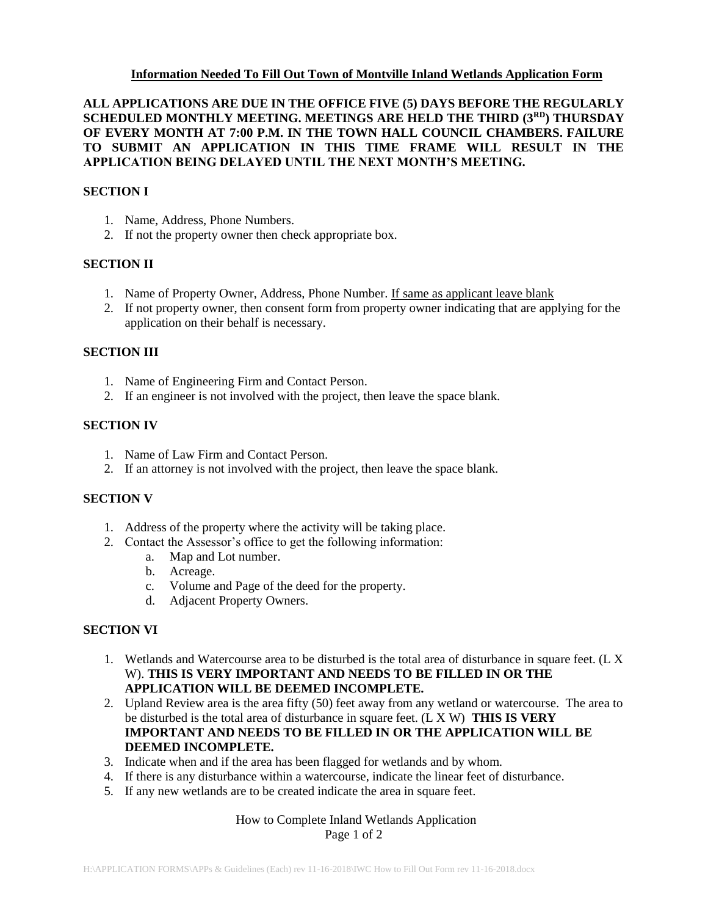## **Information Needed To Fill Out Town of Montville Inland Wetlands Application Form**

# **ALL APPLICATIONS ARE DUE IN THE OFFICE FIVE (5) DAYS BEFORE THE REGULARLY SCHEDULED MONTHLY MEETING. MEETINGS ARE HELD THE THIRD (3RD) THURSDAY OF EVERY MONTH AT 7:00 P.M. IN THE TOWN HALL COUNCIL CHAMBERS. FAILURE TO SUBMIT AN APPLICATION IN THIS TIME FRAME WILL RESULT IN THE APPLICATION BEING DELAYED UNTIL THE NEXT MONTH'S MEETING.**

#### **SECTION I**

- 1. Name, Address, Phone Numbers.
- 2. If not the property owner then check appropriate box.

## **SECTION II**

- 1. Name of Property Owner, Address, Phone Number. If same as applicant leave blank
- 2. If not property owner, then consent form from property owner indicating that are applying for the application on their behalf is necessary.

#### **SECTION III**

- 1. Name of Engineering Firm and Contact Person.
- 2. If an engineer is not involved with the project, then leave the space blank.

#### **SECTION IV**

- 1. Name of Law Firm and Contact Person.
- 2. If an attorney is not involved with the project, then leave the space blank.

#### **SECTION V**

- 1. Address of the property where the activity will be taking place.
- 2. Contact the Assessor's office to get the following information:
	- a. Map and Lot number.
	- b. Acreage.
	- c. Volume and Page of the deed for the property.
	- d. Adjacent Property Owners.

## **SECTION VI**

- 1. Wetlands and Watercourse area to be disturbed is the total area of disturbance in square feet. (L X W). **THIS IS VERY IMPORTANT AND NEEDS TO BE FILLED IN OR THE APPLICATION WILL BE DEEMED INCOMPLETE.**
- 2. Upland Review area is the area fifty (50) feet away from any wetland or watercourse. The area to be disturbed is the total area of disturbance in square feet. (L X W) **THIS IS VERY IMPORTANT AND NEEDS TO BE FILLED IN OR THE APPLICATION WILL BE DEEMED INCOMPLETE.**
- 3. Indicate when and if the area has been flagged for wetlands and by whom.
- 4. If there is any disturbance within a watercourse, indicate the linear feet of disturbance.
- 5. If any new wetlands are to be created indicate the area in square feet.

#### How to Complete Inland Wetlands Application Page 1 of 2